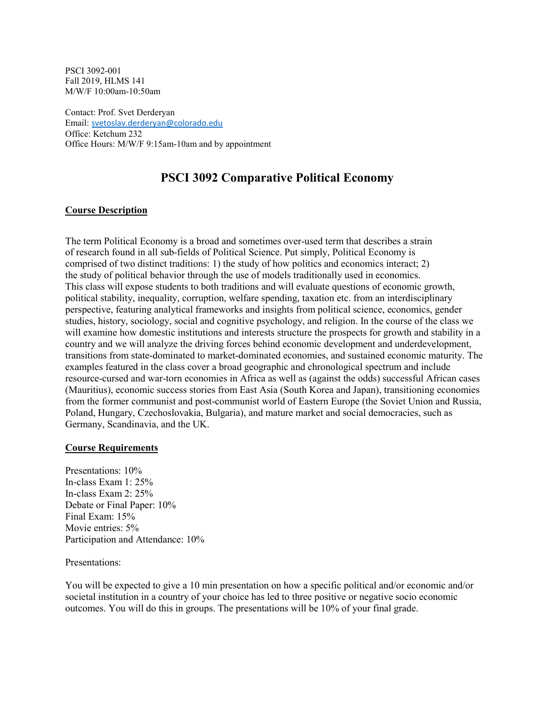PSCI 3092-001 Fall 2019, HLMS 141 M/W/F 10:00am-10:50am

Contact: Prof. Svet Derderyan Email: [svetoslav.derderyan@colorado.edu](mailto:svetoslav.derderyan@colorado.edu) Office: Ketchum 232 Office Hours: M/W/F 9:15am-10am and by appointment

# **PSCI 3092 Comparative Political Economy**

### **Course Description**

The term Political Economy is a broad and sometimes over-used term that describes a strain of research found in all sub-fields of Political Science. Put simply, Political Economy is comprised of two distinct traditions: 1) the study of how politics and economics interact; 2) the study of political behavior through the use of models traditionally used in economics. This class will expose students to both traditions and will evaluate questions of economic growth, political stability, inequality, corruption, welfare spending, taxation etc. from an interdisciplinary perspective, featuring analytical frameworks and insights from political science, economics, gender studies, history, sociology, social and cognitive psychology, and religion. In the course of the class we will examine how domestic institutions and interests structure the prospects for growth and stability in a country and we will analyze the driving forces behind economic development and underdevelopment, transitions from state-dominated to market-dominated economies, and sustained economic maturity. The examples featured in the class cover a broad geographic and chronological spectrum and include resource-cursed and war-torn economies in Africa as well as (against the odds) successful African cases (Mauritius), economic success stories from East Asia (South Korea and Japan), transitioning economies from the former communist and post-communist world of Eastern Europe (the Soviet Union and Russia, Poland, Hungary, Czechoslovakia, Bulgaria), and mature market and social democracies, such as Germany, Scandinavia, and the UK.

#### **Course Requirements**

Presentations: 10% In-class Exam 1: 25% In-class Exam 2: 25% Debate or Final Paper: 10% Final Exam: 15% Movie entries: 5% Participation and Attendance: 10%

#### Presentations:

You will be expected to give a 10 min presentation on how a specific political and/or economic and/or societal institution in a country of your choice has led to three positive or negative socio economic outcomes. You will do this in groups. The presentations will be 10% of your final grade.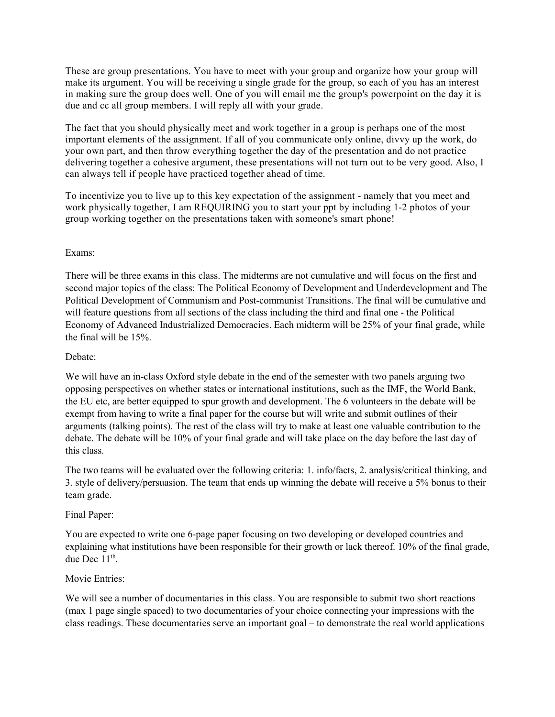These are group presentations. You have to meet with your group and organize how your group will make its argument. You will be receiving a single grade for the group, so each of you has an interest in making sure the group does well. One of you will email me the group's powerpoint on the day it is due and cc all group members. I will reply all with your grade.

The fact that you should physically meet and work together in a group is perhaps one of the most important elements of the assignment. If all of you communicate only online, divvy up the work, do your own part, and then throw everything together the day of the presentation and do not practice delivering together a cohesive argument, these presentations will not turn out to be very good. Also, I can always tell if people have practiced together ahead of time.

To incentivize you to live up to this key expectation of the assignment - namely that you meet and work physically together, I am REQUIRING you to start your ppt by including 1-2 photos of your group working together on the presentations taken with someone's smart phone!

### Exams:

There will be three exams in this class. The midterms are not cumulative and will focus on the first and second major topics of the class: The Political Economy of Development and Underdevelopment and The Political Development of Communism and Post-communist Transitions. The final will be cumulative and will feature questions from all sections of the class including the third and final one - the Political Economy of Advanced Industrialized Democracies. Each midterm will be 25% of your final grade, while the final will be 15%.

#### Debate:

We will have an in-class Oxford style debate in the end of the semester with two panels arguing two opposing perspectives on whether states or international institutions, such as the IMF, the World Bank, the EU etc, are better equipped to spur growth and development. The 6 volunteers in the debate will be exempt from having to write a final paper for the course but will write and submit outlines of their arguments (talking points). The rest of the class will try to make at least one valuable contribution to the debate. The debate will be 10% of your final grade and will take place on the day before the last day of this class.

The two teams will be evaluated over the following criteria: 1. info/facts, 2. analysis/critical thinking, and 3. style of delivery/persuasion. The team that ends up winning the debate will receive a 5% bonus to their team grade.

#### Final Paper:

You are expected to write one 6-page paper focusing on two developing or developed countries and explaining what institutions have been responsible for their growth or lack thereof. 10% of the final grade, due Dec 11<sup>th</sup>.

#### Movie Entries:

We will see a number of documentaries in this class. You are responsible to submit two short reactions (max 1 page single spaced) to two documentaries of your choice connecting your impressions with the class readings. These documentaries serve an important goal – to demonstrate the real world applications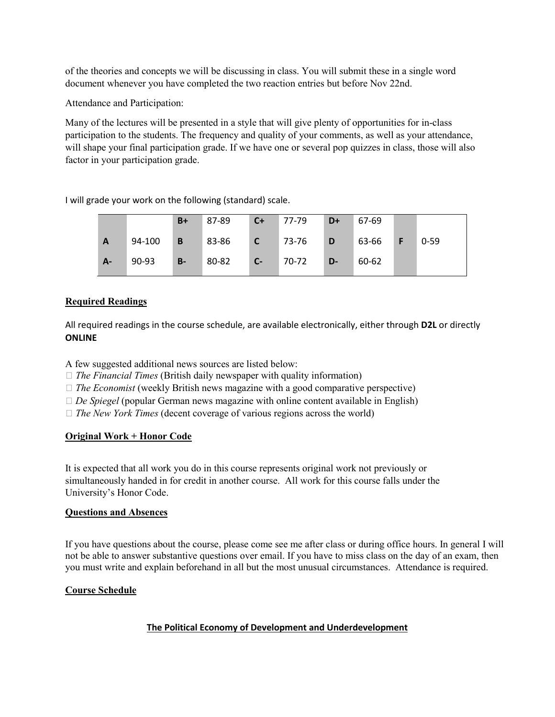of the theories and concepts we will be discussing in class. You will submit these in a single word document whenever you have completed the two reaction entries but before Nov 22nd.

Attendance and Participation:

Many of the lectures will be presented in a style that will give plenty of opportunities for in-class participation to the students. The frequency and quality of your comments, as well as your attendance, will shape your final participation grade. If we have one or several pop quizzes in class, those will also factor in your participation grade.

I will grade your work on the following (standard) scale.

|              |        | $B+$           | 87-89 | $C+$         | 77-79 | $D+$ | 67-69 |          |
|--------------|--------|----------------|-------|--------------|-------|------|-------|----------|
| $\mathbf{A}$ | 94-100 | $\overline{B}$ | 83-86 | $\mathbf{C}$ | 73-76 | D    | 63-66 | $0 - 59$ |
| $A -$        | 90-93  | $B-$           | 80-82 | $C-$         | 70-72 | D-   | 60-62 |          |

## **Required Readings**

All required readings in the course schedule, are available electronically, either through **D2L** or directly **ONLINE**

A few suggested additional news sources are listed below:

- □ *The Financial Times* (British daily newspaper with quality information)
- $\Box$  *The Economist* (weekly British news magazine with a good comparative perspective)
- $\Box$  *De Spiegel* (popular German news magazine with online content available in English)
- *The New York Times* (decent coverage of various regions across the world)

# **Original Work + Honor Code**

It is expected that all work you do in this course represents original work not previously or simultaneously handed in for credit in another course. All work for this course falls under the University's Honor Code.

## **Questions and Absences**

If you have questions about the course, please come see me after class or during office hours. In general I will not be able to answer substantive questions over email. If you have to miss class on the day of an exam, then you must write and explain beforehand in all but the most unusual circumstances. Attendance is required.

## **Course Schedule**

## **The Political Economy of Development and Underdevelopment**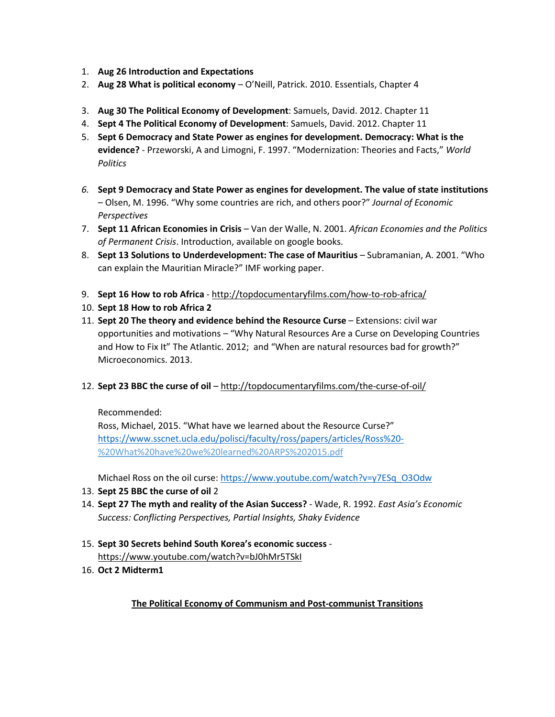- 1. **Aug 26 Introduction and Expectations**
- 2. **Aug 28 What is political economy** O'Neill, Patrick. 2010. Essentials, Chapter 4
- 3. **Aug 30 The Political Economy of Development**: Samuels, David. 2012. Chapter 11
- 4. **Sept 4 The Political Economy of Development**: Samuels, David. 2012. Chapter 11
- 5. **Sept 6 Democracy and State Power as engines for development. Democracy: What is the evidence?** - Przeworski, A and Limogni, F. 1997. "Modernization: Theories and Facts," *World Politics*
- *6.* **Sept 9 Democracy and State Power as engines for development. The value of state institutions** – Olsen, M. 1996. "Why some countries are rich, and others poor?" *Journal of Economic Perspectives*
- 7. **Sept 11 African Economies in Crisis** Van der Walle, N. 2001. *African Economies and the Politics of Permanent Crisis*. Introduction, available on google books.
- 8. **Sept 13 Solutions to Underdevelopment: The case of Mauritius** Subramanian, A. 2001. "Who can explain the Mauritian Miracle?" IMF working paper.
- 9. **Sept 16 How to rob Africa** <http://topdocumentaryfilms.com/how-to-rob-africa/>
- 10. **Sept 18 How to rob Africa 2**
- 11. **Sept 20 The theory and evidence behind the Resource Curse** Extensions: civil war opportunities and motivations – "Why Natural Resources Are a Curse on Developing Countries and How to Fix It" The Atlantic. 2012; and "When are natural resources bad for growth?" Microeconomics. 2013.
- 12. **Sept 23 BBC the curse of oil** <http://topdocumentaryfilms.com/the-curse-of-oil/>

Recommended:

Ross, Michael, 2015. "What have we learned about the Resource Curse?" <https://www.sscnet.ucla.edu/polisci/faculty/ross/papers/articles/Ross%20-> %20What%20have%20we%20learned%20ARPS%202015.pdf

Michael Ross on the oil curse: [https://www.youtube.com/watch?v=y7ESq\\_O3Odw](https://www.youtube.com/watch?v=y7ESq_O3Odw)

- 13. **Sept 25 BBC the curse of oil** 2
- 14. **Sept 27 The myth and reality of the Asian Success?** Wade, R. 1992. *East Asia's Economic Success: Conflicting Perspectives, Partial Insights, Shaky Evidence*
- 15. **Sept 30 Secrets behind South Korea's economic success** <https://www.youtube.com/watch?v=bJ0hMr5TSkI>
- 16. **Oct 2 Midterm1**

**The Political Economy of Communism and Post-communist Transitions**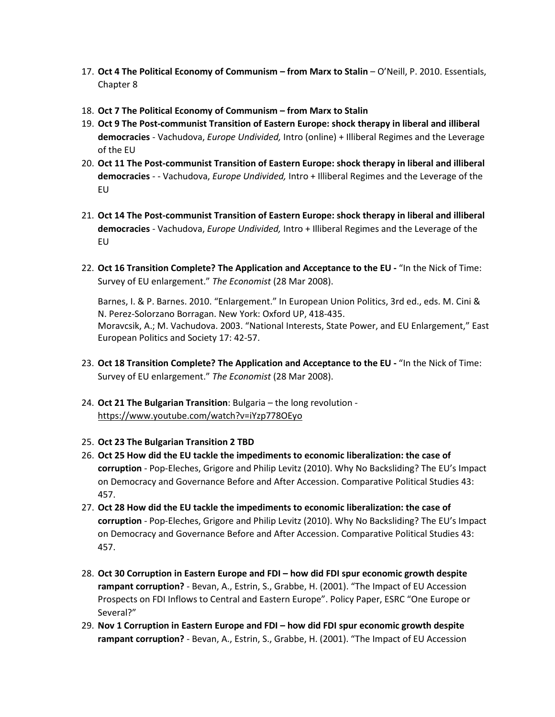- 17. **Oct 4 The Political Economy of Communism – from Marx to Stalin** O'Neill, P. 2010. Essentials, Chapter 8
- 18. **Oct 7 The Political Economy of Communism – from Marx to Stalin**
- 19. **Oct 9 The Post-communist Transition of Eastern Europe: shock therapy in liberal and illiberal democracies** - Vachudova, *Europe Undivided,* Intro (online) + Illiberal Regimes and the Leverage of the EU
- 20. **Oct 11 The Post-communist Transition of Eastern Europe: shock therapy in liberal and illiberal democracies** - - Vachudova, *Europe Undivided,* Intro + Illiberal Regimes and the Leverage of the EU
- 21. **Oct 14 The Post-communist Transition of Eastern Europe: shock therapy in liberal and illiberal democracies** - Vachudova, *Europe Undivided,* Intro + Illiberal Regimes and the Leverage of the EU
- 22. **Oct 16 Transition Complete? The Application and Acceptance to the EU -** "In the Nick of Time: Survey of EU enlargement." *The Economist* (28 Mar 2008).

Barnes, I. & P. Barnes. 2010. "Enlargement." In European Union Politics, 3rd ed., eds. M. Cini & N. Perez-Solorzano Borragan. New York: Oxford UP, 418-435. Moravcsik, A.; M. Vachudova. 2003. "National Interests, State Power, and EU Enlargement," East European Politics and Society 17: 42-57.

- 23. **Oct 18 Transition Complete? The Application and Acceptance to the EU -** "In the Nick of Time: Survey of EU enlargement." *The Economist* (28 Mar 2008).
- 24. **Oct 21 The Bulgarian Transition**: Bulgaria the long revolution <https://www.youtube.com/watch?v=iYzp778OEyo>
- 25. **Oct 23 The Bulgarian Transition 2 TBD**
- 26. **Oct 25 How did the EU tackle the impediments to economic liberalization: the case of corruption** - Pop-Eleches, Grigore and Philip Levitz (2010). Why No Backsliding? The EU's Impact on Democracy and Governance Before and After Accession. Comparative Political Studies 43: 457.
- 27. **Oct 28 How did the EU tackle the impediments to economic liberalization: the case of corruption** - Pop-Eleches, Grigore and Philip Levitz (2010). Why No Backsliding? The EU's Impact on Democracy and Governance Before and After Accession. Comparative Political Studies 43: 457.
- 28. **Oct 30 Corruption in Eastern Europe and FDI – how did FDI spur economic growth despite rampant corruption?** - Bevan, A., Estrin, S., Grabbe, H. (2001). "The Impact of EU Accession Prospects on FDI Inflows to Central and Eastern Europe". Policy Paper, ESRC "One Europe or Several?"
- 29. **Nov 1 Corruption in Eastern Europe and FDI – how did FDI spur economic growth despite rampant corruption?** - Bevan, A., Estrin, S., Grabbe, H. (2001). "The Impact of EU Accession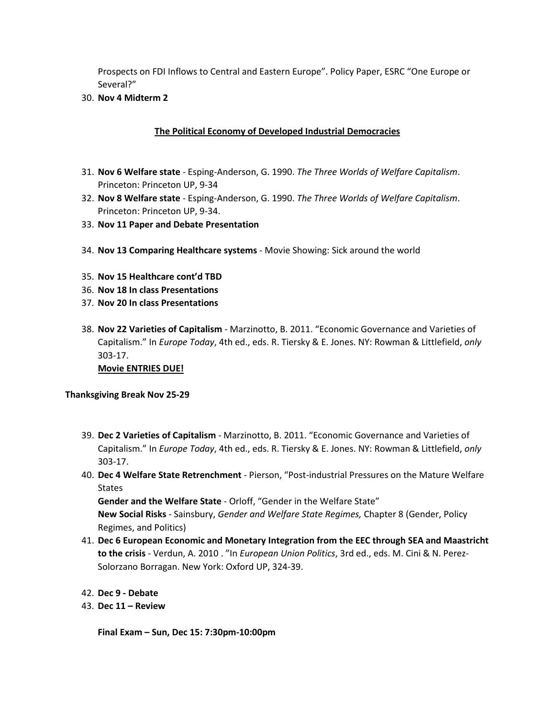Prospects on FDI Inflows to Central and Eastern Europe". Policy Paper, ESRC "One Europe or Several?"

30. **Nov 4 Midterm 2**

#### **The Political Economy of Developed Industrial Democracies**

- 31. **Nov 6 Welfare state** Esping-Anderson, G. 1990. *The Three Worlds of Welfare Capitalism*. Princeton: Princeton UP, 9-34
- 32. **Nov 8 Welfare state** Esping-Anderson, G. 1990. *The Three Worlds of Welfare Capitalism*. Princeton: Princeton UP, 9-34.
- 33. **Nov 11 Paper and Debate Presentation**
- 34. **Nov 13 Comparing Healthcare systems** Movie Showing: Sick around the world
- 35. **Nov 15 Healthcare cont'd TBD**
- 36. **Nov 18 In class Presentations**
- 37. **Nov 20 In class Presentations**
- 38. **Nov 22 Varieties of Capitalism** Marzinotto, B. 2011. "Economic Governance and Varieties of Capitalism." In *Europe Today*, 4th ed., eds. R. Tiersky & E. Jones. NY: Rowman & Littlefield, *only*  303-17.

**Movie ENTRIES DUE!**

**Thanksgiving Break Nov 25-29**

- 39. **Dec 2 Varieties of Capitalism** Marzinotto, B. 2011. "Economic Governance and Varieties of Capitalism." In *Europe Today*, 4th ed., eds. R. Tiersky & E. Jones. NY: Rowman & Littlefield, *only*  303-17.
- 40. **Dec 4 Welfare State Retrenchment** Pierson, "Post-industrial Pressures on the Mature Welfare States

**Gender and the Welfare State** - Orloff, "Gender in the Welfare State" **New Social Risks** - Sainsbury, *Gender and Welfare State Regimes,* Chapter 8 (Gender, Policy Regimes, and Politics)

- 41. **Dec 6 European Economic and Monetary Integration from the EEC through SEA and Maastricht to the crisis** - Verdun, A. 2010 . "In *European Union Politics*, 3rd ed., eds. M. Cini & N. Perez-Solorzano Borragan. New York: Oxford UP, 324-39.
- 42. **Dec 9 - Debate**
- 43. **Dec 11 – Review**

**Final Exam – Sun, Dec 15: 7:30pm-10:00pm**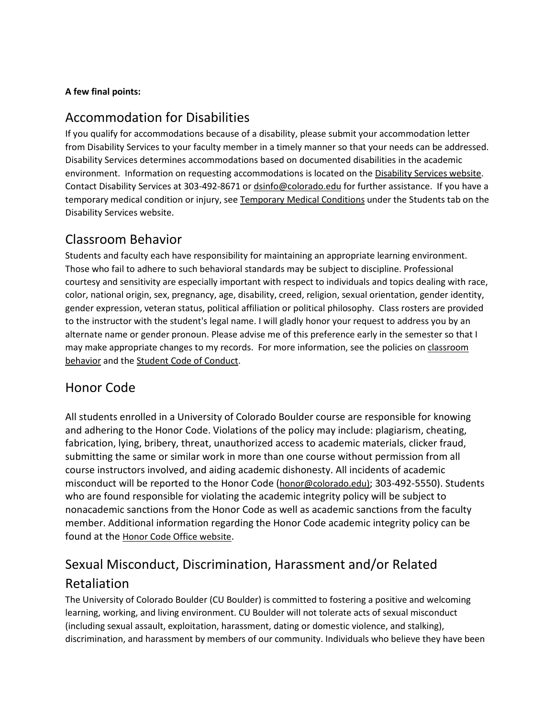# **A few final points:**

# Accommodation for Disabilities

If you qualify for accommodations because of a disability, please submit your accommodation letter from Disability Services to your faculty member in a timely manner so that your needs can be addressed. Disability Services determines accommodations based on documented disabilities in the academic environment. Information on requesting accommodations is located on th[e Disability Services website.](http://www.colorado.edu/disabilityservices/students) Contact Disability Services at 303-492-8671 or [dsinfo@colorado.edu](mailto:dsinfo@colorado.edu) for further assistance. If you have a temporary medical condition or injury, see [Temporary Medical Conditions](http://www.colorado.edu/disabilityservices/students/temporary-medical-conditions) under the Students tab on the Disability Services website.

# Classroom Behavior

Students and faculty each have responsibility for maintaining an appropriate learning environment. Those who fail to adhere to such behavioral standards may be subject to discipline. Professional courtesy and sensitivity are especially important with respect to individuals and topics dealing with race, color, national origin, sex, pregnancy, age, disability, creed, religion, sexual orientation, gender identity, gender expression, veteran status, political affiliation or political philosophy. Class rosters are provided to the instructor with the student's legal name. I will gladly honor your request to address you by an alternate name or gender pronoun. Please advise me of this preference early in the semester so that I may make appropriate changes to my records. For more information, see the policies on [classroom](http://www.colorado.edu/policies/student-classroom-and-course-related-behavior)  [behavior](http://www.colorado.edu/policies/student-classroom-and-course-related-behavior) and th[e Student Code of Conduct.](http://www.colorado.edu/osccr/)

# Honor Code

All students enrolled in a University of Colorado Boulder course are responsible for knowing and adhering to the Honor Code. Violations of the policy may include: plagiarism, cheating, fabrication, lying, bribery, threat, unauthorized access to academic materials, clicker fraud, submitting the same or similar work in more than one course without permission from all course instructors involved, and aiding academic dishonesty. All incidents of academic misconduct will be reported to the Honor Code [\(honor@colorado.edu\)](mailto:honor@colorado.edu); 303-492-5550). Students who are found responsible for violating the academic integrity policy will be subject to nonacademic sanctions from the Honor Code as well as academic sanctions from the faculty member. Additional information regarding the Honor Code academic integrity policy can be found at the [Honor Code Office website.](https://www.colorado.edu/osccr/honor-code)

# Sexual Misconduct, Discrimination, Harassment and/or Related Retaliation

The University of Colorado Boulder (CU Boulder) is committed to fostering a positive and welcoming learning, working, and living environment. CU Boulder will not tolerate acts of sexual misconduct (including sexual assault, exploitation, harassment, dating or domestic violence, and stalking), discrimination, and harassment by members of our community. Individuals who believe they have been